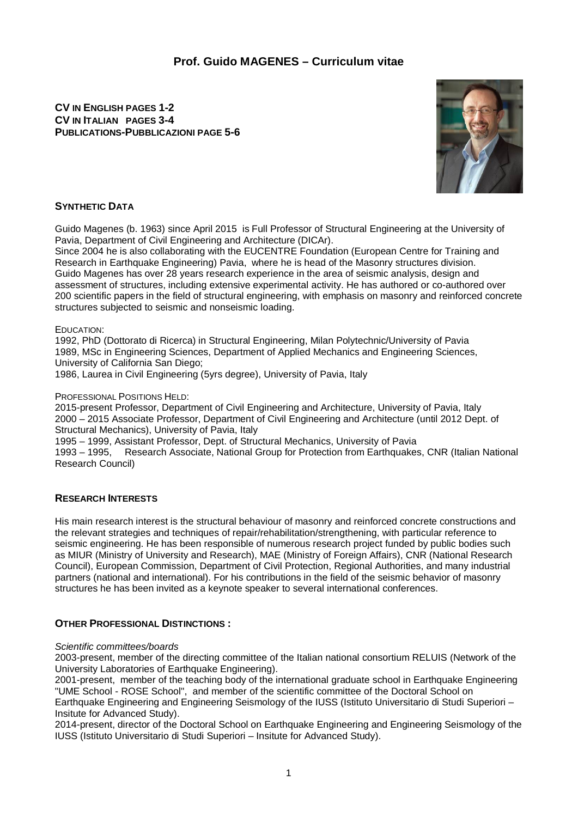# **Prof. Guido MAGENES – Curriculum vitae**

## **CV IN ENGLISH PAGES 1-2 CV IN ITALIAN PAGES 3-4 PUBLICATIONS-PUBBLICAZIONI PAGE 5-6**



### **SYNTHETIC DATA**

Guido Magenes (b. 1963) since April 2015 is Full Professor of Structural Engineering at the University of Pavia, Department of Civil Engineering and Architecture (DICAr).

Since 2004 he is also collaborating with the EUCENTRE Foundation (European Centre for Training and Research in Earthquake Engineering) Pavia, where he is head of the Masonry structures division. Guido Magenes has over 28 years research experience in the area of seismic analysis, design and assessment of structures, including extensive experimental activity. He has authored or co-authored over 200 scientific papers in the field of structural engineering, with emphasis on masonry and reinforced concrete structures subjected to seismic and nonseismic loading.

#### EDUCATION:

1992, PhD (Dottorato di Ricerca) in Structural Engineering, Milan Polytechnic/University of Pavia 1989, MSc in Engineering Sciences, Department of Applied Mechanics and Engineering Sciences, University of California San Diego;

1986, Laurea in Civil Engineering (5yrs degree), University of Pavia, Italy

#### PROFESSIONAL POSITIONS HELD:

2015-present Professor, Department of Civil Engineering and Architecture, University of Pavia, Italy 2000 – 2015 Associate Professor, Department of Civil Engineering and Architecture (until 2012 Dept. of Structural Mechanics), University of Pavia, Italy

1995 – 1999, Assistant Professor, Dept. of Structural Mechanics, University of Pavia Research Associate, National Group for Protection from Earthquakes, CNR (Italian National Research Council)

### **RESEARCH INTERESTS**

His main research interest is the structural behaviour of masonry and reinforced concrete constructions and the relevant strategies and techniques of repair/rehabilitation/strengthening, with particular reference to seismic engineering. He has been responsible of numerous research project funded by public bodies such as MIUR (Ministry of University and Research), MAE (Ministry of Foreign Affairs), CNR (National Research Council), European Commission, Department of Civil Protection, Regional Authorities, and many industrial partners (national and international). For his contributions in the field of the seismic behavior of masonry structures he has been invited as a keynote speaker to several international conferences.

### **OTHER PROFESSIONAL DISTINCTIONS :**

#### *Scientific committees/boards*

2003-present, member of the directing committee of the Italian national consortium RELUIS (Network of the University Laboratories of Earthquake Engineering).

2001-present, member of the teaching body of the international graduate school in Earthquake Engineering "UME School - ROSE School", and member of the scientific committee of the Doctoral School on Earthquake Engineering and Engineering Seismology of the IUSS (Istituto Universitario di Studi Superiori –

Insitute for Advanced Study).

2014-present, director of the Doctoral School on Earthquake Engineering and Engineering Seismology of the IUSS (Istituto Universitario di Studi Superiori – Insitute for Advanced Study).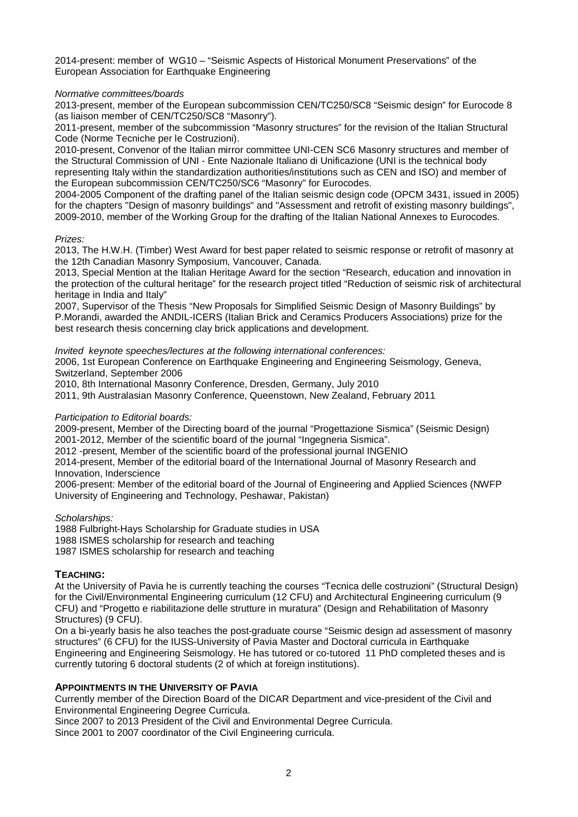2014-present: member of WG10 – "Seismic Aspects of Historical Monument Preservations" of the European Association for Earthquake Engineering

### *Normative committees/boards*

2013-present, member of the European subcommission CEN/TC250/SC8 "Seismic design" for Eurocode 8 (as liaison member of CEN/TC250/SC8 "Masonry").

2011-present, member of the subcommission "Masonry structures" for the revision of the Italian Structural Code (Norme Tecniche per le Costruzioni).

2010-present, Convenor of the Italian mirror committee UNI-CEN SC6 Masonry structures and member of the Structural Commission of UNI - Ente Nazionale Italiano di Unificazione (UNI is the technical body representing Italy within the standardization authorities/institutions such as CEN and ISO) and member of the European subcommission CEN/TC250/SC6 "Masonry" for Eurocodes.

2004-2005 Component of the drafting panel of the Italian seismic design code (OPCM 3431, issued in 2005) for the chapters "Design of masonry buildings" and "Assessment and retrofit of existing masonry buildings", 2009-2010, member of the Working Group for the drafting of the Italian National Annexes to Eurocodes.

### *Prizes:*

2013, The H.W.H. (Timber) West Award for best paper related to seismic response or retrofit of masonry at the 12th Canadian Masonry Symposium, Vancouver, Canada.

2013, Special Mention at the Italian Heritage Award for the section "Research, education and innovation in the protection of the cultural heritage" for the research project titled "Reduction of seismic risk of architectural heritage in India and Italy"

2007, Supervisor of the Thesis "New Proposals for Simplified Seismic Design of Masonry Buildings" by P.Morandi, awarded the ANDIL-ICERS (Italian Brick and Ceramics Producers Associations) prize for the best research thesis concerning clay brick applications and development.

*Invited keynote speeches/lectures at the following international conferences:* 

2006, 1st European Conference on Earthquake Engineering and Engineering Seismology, Geneva, Switzerland, September 2006

2010, 8th International Masonry Conference, Dresden, Germany, July 2010

2011, 9th Australasian Masonry Conference, Queenstown, New Zealand, February 2011

### *Participation to Editorial boards:*

2009-present, Member of the Directing board of the journal "Progettazione Sismica" (Seismic Design) 2001-2012, Member of the scientific board of the journal "Ingegneria Sismica".

2012 -present, Member of the scientific board of the professional journal INGENIO

2014-present, Member of the editorial board of the International Journal of Masonry Research and Innovation, Inderscience

2006-present: Member of the editorial board of the Journal of Engineering and Applied Sciences (NWFP University of Engineering and Technology, Peshawar, Pakistan)

*Scholarships:*

1988 Fulbright-Hays Scholarship for Graduate studies in USA 1988 ISMES scholarship for research and teaching 1987 ISMES scholarship for research and teaching

# **TEACHING:**

At the University of Pavia he is currently teaching the courses "Tecnica delle costruzioni" (Structural Design) for the Civil/Environmental Engineering curriculum (12 CFU) and Architectural Engineering curriculum (9 CFU) and "Progetto e riabilitazione delle strutture in muratura" (Design and Rehabilitation of Masonry Structures) (9 CFU).

On a bi-yearly basis he also teaches the post-graduate course "Seismic design ad assessment of masonry structures" (6 CFU) for the IUSS-University of Pavia Master and Doctoral curricula in Earthquake Engineering and Engineering Seismology. He has tutored or co-tutored 11 PhD completed theses and is currently tutoring 6 doctoral students (2 of which at foreign institutions).

# **APPOINTMENTS IN THE UNIVERSITY OF PAVIA**

Currently member of the Direction Board of the DICAR Department and vice-president of the Civil and Environmental Engineering Degree Curricula.

Since 2007 to 2013 President of the Civil and Environmental Degree Curricula.

Since 2001 to 2007 coordinator of the Civil Engineering curricula.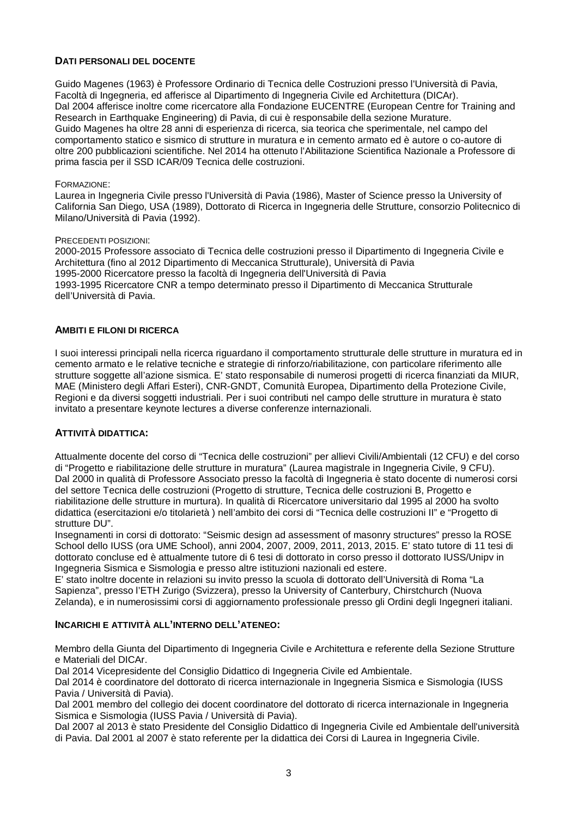### **DATI PERSONALI DEL DOCENTE**

Guido Magenes (1963) è Professore Ordinario di Tecnica delle Costruzioni presso l'Università di Pavia, Facoltà di Ingegneria, ed afferisce al Dipartimento di Ingegneria Civile ed Architettura (DICAr). Dal 2004 afferisce inoltre come ricercatore alla Fondazione EUCENTRE (European Centre for Training and Research in Earthquake Engineering) di Pavia, di cui è responsabile della sezione Murature. Guido Magenes ha oltre 28 anni di esperienza di ricerca, sia teorica che sperimentale, nel campo del comportamento statico e sismico di strutture in muratura e in cemento armato ed è autore o co-autore di oltre 200 pubblicazioni scientifiche. Nel 2014 ha ottenuto l'Abilitazione Scientifica Nazionale a Professore di prima fascia per il SSD ICAR/09 Tecnica delle costruzioni.

#### FORMAZIONE:

Laurea in Ingegneria Civile presso l'Università di Pavia (1986), Master of Science presso la University of California San Diego, USA (1989), Dottorato di Ricerca in Ingegneria delle Strutture, consorzio Politecnico di Milano/Università di Pavia (1992).

#### PRECEDENTI POSIZIONI:

2000-2015 Professore associato di Tecnica delle costruzioni presso il Dipartimento di Ingegneria Civile e Architettura (fino al 2012 Dipartimento di Meccanica Strutturale), Università di Pavia 1995-2000 Ricercatore presso la facoltà di Ingegneria dell'Università di Pavia 1993-1995 Ricercatore CNR a tempo determinato presso il Dipartimento di Meccanica Strutturale dell'Università di Pavia.

#### **AMBITI E FILONI DI RICERCA**

I suoi interessi principali nella ricerca riguardano il comportamento strutturale delle strutture in muratura ed in cemento armato e le relative tecniche e strategie di rinforzo/riabilitazione, con particolare riferimento alle strutture soggette all'azione sismica. E' stato responsabile di numerosi progetti di ricerca finanziati da MIUR, MAE (Ministero degli Affari Esteri), CNR-GNDT, Comunità Europea, Dipartimento della Protezione Civile, Regioni e da diversi soggetti industriali. Per i suoi contributi nel campo delle strutture in muratura è stato invitato a presentare keynote lectures a diverse conferenze internazionali.

### **ATTIVITÀ DIDATTICA:**

Attualmente docente del corso di "Tecnica delle costruzioni" per allievi Civili/Ambientali (12 CFU) e del corso di "Progetto e riabilitazione delle strutture in muratura" (Laurea magistrale in Ingegneria Civile, 9 CFU). Dal 2000 in qualità di Professore Associato presso la facoltà di Ingegneria è stato docente di numerosi corsi del settore Tecnica delle costruzioni (Progetto di strutture, Tecnica delle costruzioni B, Progetto e riabilitazione delle strutture in murtura). In qualità di Ricercatore universitario dal 1995 al 2000 ha svolto didattica (esercitazioni e/o titolarietà ) nell'ambito dei corsi di "Tecnica delle costruzioni II" e "Progetto di strutture DU".

Insegnamenti in corsi di dottorato: "Seismic design ad assessment of masonry structures" presso la ROSE School dello IUSS (ora UME School), anni 2004, 2007, 2009, 2011, 2013, 2015. E' stato tutore di 11 tesi di dottorato concluse ed è attualmente tutore di 6 tesi di dottorato in corso presso il dottorato IUSS/Unipv in Ingegneria Sismica e Sismologia e presso altre istituzioni nazionali ed estere.

E' stato inoltre docente in relazioni su invito presso la scuola di dottorato dell'Università di Roma "La Sapienza", presso l'ETH Zurigo (Svizzera), presso la University of Canterbury, Chirstchurch (Nuova Zelanda), e in numerosissimi corsi di aggiornamento professionale presso gli Ordini degli Ingegneri italiani.

### **INCARICHI E ATTIVITÀ ALL'INTERNO DELL'ATENEO:**

Membro della Giunta del Dipartimento di Ingegneria Civile e Architettura e referente della Sezione Strutture e Materiali del DICAr.

Dal 2014 Vicepresidente del Consiglio Didattico di Ingegneria Civile ed Ambientale.

Dal 2014 è coordinatore del dottorato di ricerca internazionale in Ingegneria Sismica e Sismologia (IUSS Pavia / Università di Pavia).

Dal 2001 membro del collegio dei docent coordinatore del dottorato di ricerca internazionale in Ingegneria Sismica e Sismologia (IUSS Pavia / Università di Pavia).

Dal 2007 al 2013 è stato Presidente del Consiglio Didattico di Ingegneria Civile ed Ambientale dell'università di Pavia. Dal 2001 al 2007 è stato referente per la didattica dei Corsi di Laurea in Ingegneria Civile.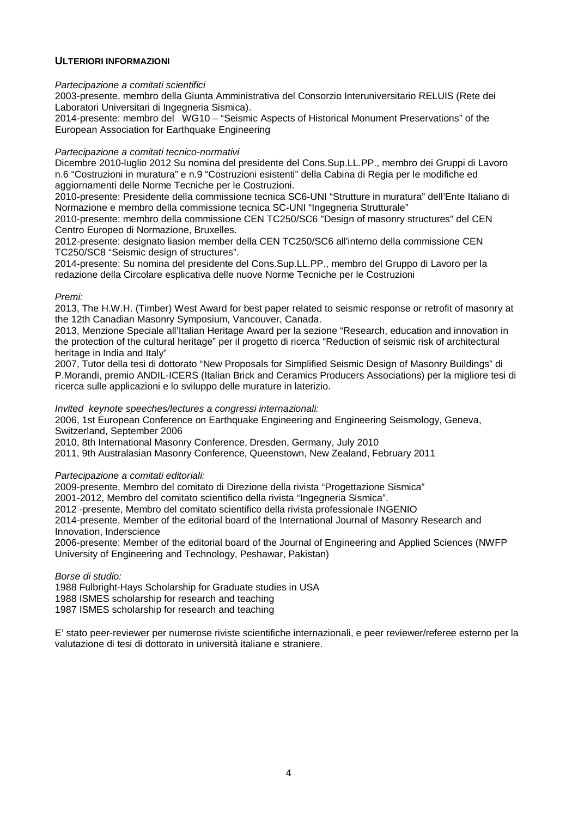### **ULTERIORI INFORMAZIONI**

*Partecipazione a comitati scientifici*

2003-presente, membro della Giunta Amministrativa del Consorzio Interuniversitario RELUIS (Rete dei Laboratori Universitari di Ingegneria Sismica).

2014-presente: membro del WG10 – "Seismic Aspects of Historical Monument Preservations" of the European Association for Earthquake Engineering

#### *Partecipazione a comitati tecnico-normativi*

Dicembre 2010-luglio 2012 Su nomina del presidente del Cons.Sup.LL.PP., membro dei Gruppi di Lavoro n.6 "Costruzioni in muratura" e n.9 "Costruzioni esistenti" della Cabina di Regia per le modifiche ed aggiornamenti delle Norme Tecniche per le Costruzioni.

2010-presente: Presidente della commissione tecnica SC6-UNI "Strutture in muratura" dell'Ente Italiano di Normazione e membro della commissione tecnica SC-UNI "Ingegneria Strutturale"

2010-presente: membro della commissione CEN TC250/SC6 "Design of masonry structures" del CEN Centro Europeo di Normazione, Bruxelles.

2012-presente: designato liasion member della CEN TC250/SC6 all'interno della commissione CEN TC250/SC8 "Seismic design of structures".

2014-presente: Su nomina del presidente del Cons.Sup.LL.PP., membro del Gruppo di Lavoro per la redazione della Circolare esplicativa delle nuove Norme Tecniche per le Costruzioni

#### *Premi:*

2013, The H.W.H. (Timber) West Award for best paper related to seismic response or retrofit of masonry at the 12th Canadian Masonry Symposium, Vancouver, Canada.

2013, Menzione Speciale all'Italian Heritage Award per la sezione "Research, education and innovation in the protection of the cultural heritage" per il progetto di ricerca "Reduction of seismic risk of architectural heritage in India and Italy"

2007, Tutor della tesi di dottorato "New Proposals for Simplified Seismic Design of Masonry Buildings" di P.Morandi, premio ANDIL-ICERS (Italian Brick and Ceramics Producers Associations) per la migliore tesi di ricerca sulle applicazioni e lo sviluppo delle murature in laterizio.

*Invited keynote speeches/lectures a congressi internazionali:* 

2006, 1st European Conference on Earthquake Engineering and Engineering Seismology, Geneva, Switzerland, September 2006

2010, 8th International Masonry Conference, Dresden, Germany, July 2010

2011, 9th Australasian Masonry Conference, Queenstown, New Zealand, February 2011

#### *Partecipazione a comitati editoriali:*

2009-presente, Membro del comitato di Direzione della rivista "Progettazione Sismica"

2001-2012, Membro del comitato scientifico della rivista "Ingegneria Sismica".

2012 -presente, Membro del comitato scientifico della rivista professionale INGENIO

2014-presente, Member of the editorial board of the International Journal of Masonry Research and Innovation, Inderscience

2006-presente: Member of the editorial board of the Journal of Engineering and Applied Sciences (NWFP University of Engineering and Technology, Peshawar, Pakistan)

### *Borse di studio:*

1988 Fulbright-Hays Scholarship for Graduate studies in USA 1988 ISMES scholarship for research and teaching 1987 ISMES scholarship for research and teaching

E' stato peer-reviewer per numerose riviste scientifiche internazionali, e peer reviewer/referee esterno per la valutazione di tesi di dottorato in università italiane e straniere.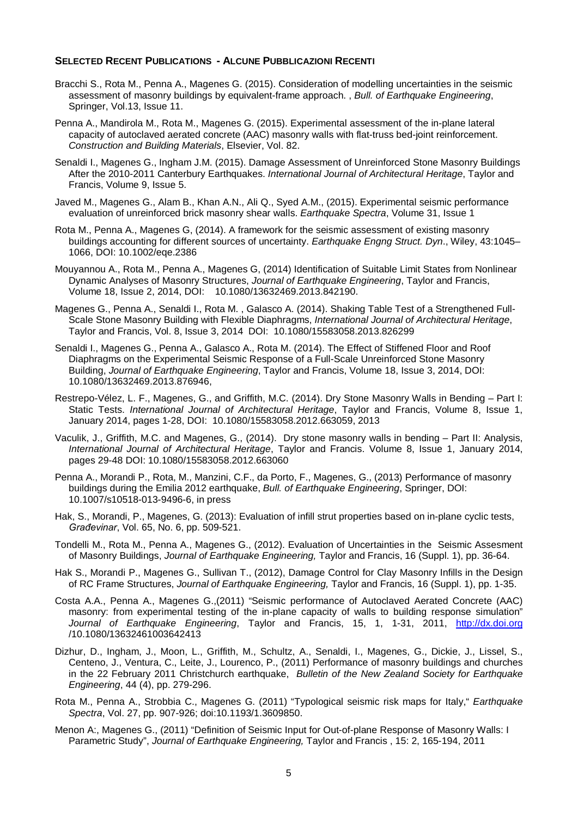#### **SELECTED RECENT PUBLICATIONS - ALCUNE PUBBLICAZIONI RECENTI**

- Bracchi S., Rota M., Penna A., Magenes G. (2015). Consideration of modelling uncertainties in the seismic assessment of masonry buildings by equivalent-frame approach. , *Bull. of Earthquake Engineering*, Springer, Vol.13, Issue 11.
- Penna A., Mandirola M., Rota M., Magenes G. (2015). Experimental assessment of the in-plane lateral capacity of autoclaved aerated concrete (AAC) masonry walls with flat-truss bed-joint reinforcement. *Construction and Building Materials*, Elsevier, Vol. 82.
- Senaldi I., Magenes G., Ingham J.M. (2015). Damage Assessment of Unreinforced Stone Masonry Buildings After the 2010-2011 Canterbury Earthquakes. *International Journal of Architectural Heritage*, Taylor and Francis, Volume 9, Issue 5.
- Javed M., Magenes G., Alam B., Khan A.N., Ali Q., Syed A.M., (2015). Experimental seismic performance evaluation of unreinforced brick masonry shear walls. *Earthquake Spectra*, Volume 31, Issue 1
- Rota M., Penna A., Magenes G, (2014). A framework for the seismic assessment of existing masonry buildings accounting for different sources of uncertainty. *Earthquake Engng Struct. Dyn*., Wiley, 43:1045– 1066, DOI: 10.1002/eqe.2386
- Mouyannou A., Rota M., Penna A., Magenes G, (2014) Identification of Suitable Limit States from Nonlinear Dynamic Analyses of Masonry Structures, *Journal of Earthquake Engineering*, Taylor and Francis, Volume 18, Issue 2, 2014, DOI: 10.1080/13632469.2013.842190.
- Magenes G., Penna A., Senaldi I., Rota M. , Galasco A. (2014). Shaking Table Test of a Strengthened Full-Scale Stone Masonry Building with Flexible Diaphragms, *International Journal of Architectural Heritage*, Taylor and Francis, Vol. 8, Issue 3, 2014 DOI: 10.1080/15583058.2013.826299
- Senaldi I., Magenes G., Penna A., Galasco A., Rota M. (2014). The Effect of Stiffened Floor and Roof Diaphragms on the Experimental Seismic Response of a Full-Scale Unreinforced Stone Masonry Building, *Journal of Earthquake Engineering*, Taylor and Francis, Volume 18, Issue 3, 2014, DOI: 10.1080/13632469.2013.876946,
- Restrepo-Vélez, L. F., Magenes, G., and Griffith, M.C. (2014). Dry Stone Masonry Walls in Bending Part I: Static Tests. *International Journal of Architectural Heritage*, Taylor and Francis, Volume 8, Issue 1, January 2014, pages 1-28, DOI: 10.1080/15583058.2012.663059, 2013
- Vaculik, J., Griffith, M.C. and Magenes, G., (2014). Dry stone masonry walls in bending Part II: Analysis, *International Journal of Architectural Heritage*, Taylor and Francis. Volume 8, Issue 1, January 2014, pages 29-48 DOI: 10.1080/15583058.2012.663060
- Penna A., Morandi P., Rota, M., Manzini, C.F., da Porto, F., Magenes, G., (2013) Performance of masonry buildings during the Emilia 2012 earthquake, *Bull. of Earthquake Engineering*, Springer, DOI: 10.1007/s10518-013-9496-6, in press
- Hak, S., Morandi, P., Magenes, G. (2013): Evaluation of infill strut properties based on in-plane cyclic tests, *Građevinar*, Vol. 65, No. 6, pp. 509-521.
- Tondelli M., Rota M., Penna A., Magenes G., (2012). Evaluation of Uncertainties in the Seismic Assesment of Masonry Buildings, *Journal of Earthquake Engineering,* Taylor and Francis, 16 (Suppl. 1), pp. 36-64.
- Hak S., Morandi P., Magenes G., Sullivan T., (2012), Damage Control for Clay Masonry Infills in the Design of RC Frame Structures, *Journal of Earthquake Engineering,* Taylor and Francis, 16 (Suppl. 1), pp. 1-35.
- Costa A.A., Penna A., Magenes G.,(2011) "Seismic performance of Autoclaved Aerated Concrete (AAC) masonry: from experimental testing of the in-plane capacity of walls to building response simulation" *Journal of Earthquake Engineering*, Taylor and Francis, 15, 1, 1-31, 2011, [http://dx.doi.org](http://dx.doi.org/) /10.1080/13632461003642413
- Dizhur, D., Ingham, J., Moon, L., Griffith, M., Schultz, A., Senaldi, I., Magenes, G., Dickie, J., Lissel, S., Centeno, J., Ventura, C., Leite, J., Lourenco, P., (2011) Performance of masonry buildings and churches in the 22 February 2011 Christchurch earthquake, *Bulletin of the New Zealand Society for Earthquake Engineering*, 44 (4), pp. 279-296.
- Rota M., Penna A., Strobbia C., Magenes G. (2011) "Typological seismic risk maps for Italy," *Earthquake Spectra*, Vol. 27, pp. 907-926; doi:10.1193/1.3609850.
- Menon A:, Magenes G., (2011) "Definition of Seismic Input for Out-of-plane Response of Masonry Walls: I Parametric Study", *Journal of Earthquake Engineering,* Taylor and Francis , 15: 2, 165-194, 2011